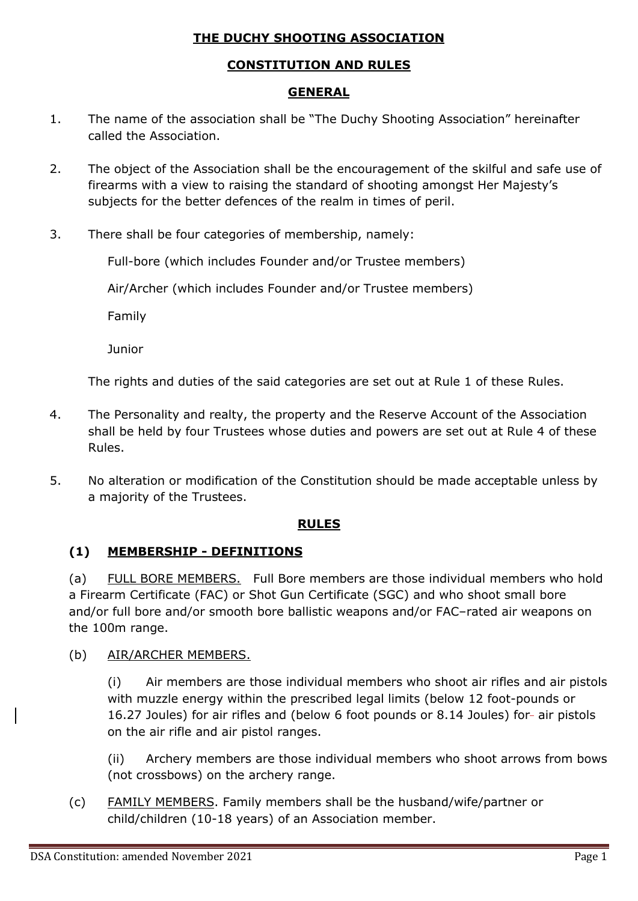### **THE DUCHY SHOOTING ASSOCIATION**

### **CONSTITUTION AND RULES**

### **GENERAL**

- 1. The name of the association shall be "The Duchy Shooting Association" hereinafter called the Association.
- 2. The object of the Association shall be the encouragement of the skilful and safe use of firearms with a view to raising the standard of shooting amongst Her Majesty's subjects for the better defences of the realm in times of peril.
- 3. There shall be four categories of membership, namely:

Full-bore (which includes Founder and/or Trustee members)

Air/Archer (which includes Founder and/or Trustee members)

Family

Junior

The rights and duties of the said categories are set out at Rule 1 of these Rules.

- 4. The Personality and realty, the property and the Reserve Account of the Association shall be held by four Trustees whose duties and powers are set out at Rule 4 of these Rules.
- 5. No alteration or modification of the Constitution should be made acceptable unless by a majority of the Trustees.

### **RULES**

### **(1) MEMBERSHIP - DEFINITIONS**

(a) FULL BORE MEMBERS. Full Bore members are those individual members who hold a Firearm Certificate (FAC) or Shot Gun Certificate (SGC) and who shoot small bore and/or full bore and/or smooth bore ballistic weapons and/or FAC–rated air weapons on the 100m range.

### (b) AIR/ARCHER MEMBERS.

(i) Air members are those individual members who shoot air rifles and air pistols with muzzle energy within the prescribed legal limits (below 12 foot-pounds or 16.27 Joules) for air rifles and (below 6 foot pounds or 8.14 Joules) for- air pistols on the air rifle and air pistol ranges.

(ii) Archery members are those individual members who shoot arrows from bows (not crossbows) on the archery range.

(c) FAMILY MEMBERS. Family members shall be the husband/wife/partner or child/children (10-18 years) of an Association member.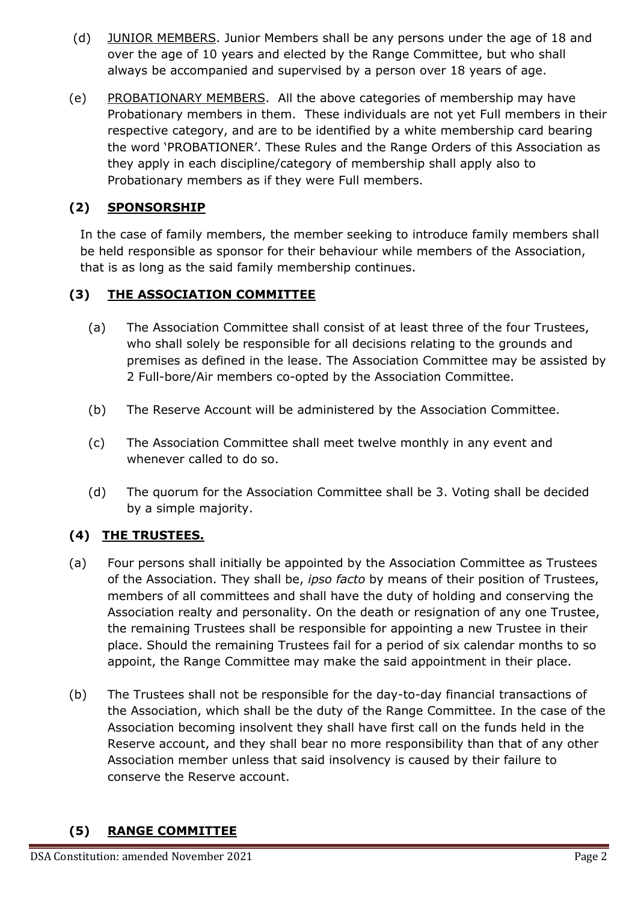- (d) JUNIOR MEMBERS. Junior Members shall be any persons under the age of 18 and over the age of 10 years and elected by the Range Committee, but who shall always be accompanied and supervised by a person over 18 years of age.
- (e) PROBATIONARY MEMBERS. All the above categories of membership may have Probationary members in them. These individuals are not yet Full members in their respective category, and are to be identified by a white membership card bearing the word 'PROBATIONER'. These Rules and the Range Orders of this Association as they apply in each discipline/category of membership shall apply also to Probationary members as if they were Full members.

## **(2) SPONSORSHIP**

In the case of family members, the member seeking to introduce family members shall be held responsible as sponsor for their behaviour while members of the Association, that is as long as the said family membership continues.

## **(3) THE ASSOCIATION COMMITTEE**

- (a) The Association Committee shall consist of at least three of the four Trustees, who shall solely be responsible for all decisions relating to the grounds and premises as defined in the lease. The Association Committee may be assisted by 2 Full-bore/Air members co-opted by the Association Committee.
- (b) The Reserve Account will be administered by the Association Committee.
- (c) The Association Committee shall meet twelve monthly in any event and whenever called to do so.
- (d) The quorum for the Association Committee shall be 3. Voting shall be decided by a simple majority.

## **(4) THE TRUSTEES.**

- (a) Four persons shall initially be appointed by the Association Committee as Trustees of the Association. They shall be, *ipso facto* by means of their position of Trustees, members of all committees and shall have the duty of holding and conserving the Association realty and personality. On the death or resignation of any one Trustee, the remaining Trustees shall be responsible for appointing a new Trustee in their place. Should the remaining Trustees fail for a period of six calendar months to so appoint, the Range Committee may make the said appointment in their place.
- (b) The Trustees shall not be responsible for the day-to-day financial transactions of the Association, which shall be the duty of the Range Committee. In the case of the Association becoming insolvent they shall have first call on the funds held in the Reserve account, and they shall bear no more responsibility than that of any other Association member unless that said insolvency is caused by their failure to conserve the Reserve account.

# **(5) RANGE COMMITTEE**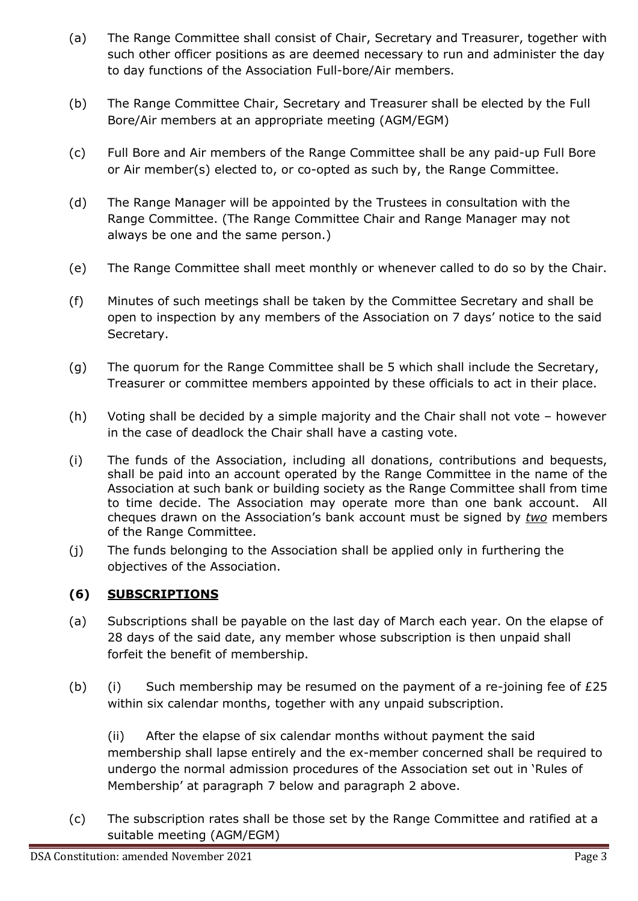- (a) The Range Committee shall consist of Chair, Secretary and Treasurer, together with such other officer positions as are deemed necessary to run and administer the day to day functions of the Association Full-bore/Air members.
- (b) The Range Committee Chair, Secretary and Treasurer shall be elected by the Full Bore/Air members at an appropriate meeting (AGM/EGM)
- (c) Full Bore and Air members of the Range Committee shall be any paid-up Full Bore or Air member(s) elected to, or co-opted as such by, the Range Committee.
- (d) The Range Manager will be appointed by the Trustees in consultation with the Range Committee. (The Range Committee Chair and Range Manager may not always be one and the same person.)
- (e) The Range Committee shall meet monthly or whenever called to do so by the Chair.
- (f) Minutes of such meetings shall be taken by the Committee Secretary and shall be open to inspection by any members of the Association on 7 days' notice to the said Secretary.
- (g) The quorum for the Range Committee shall be 5 which shall include the Secretary, Treasurer or committee members appointed by these officials to act in their place.
- (h) Voting shall be decided by a simple majority and the Chair shall not vote however in the case of deadlock the Chair shall have a casting vote.
- (i) The funds of the Association, including all donations, contributions and bequests, shall be paid into an account operated by the Range Committee in the name of the Association at such bank or building society as the Range Committee shall from time to time decide. The Association may operate more than one bank account. All cheques drawn on the Association's bank account must be signed by *two* members of the Range Committee.
- (j) The funds belonging to the Association shall be applied only in furthering the objectives of the Association.

## **(6) SUBSCRIPTIONS**

- (a) Subscriptions shall be payable on the last day of March each year. On the elapse of 28 days of the said date, any member whose subscription is then unpaid shall forfeit the benefit of membership.
- (b) (i) Such membership may be resumed on the payment of a re-joining fee of  $E25$ within six calendar months, together with any unpaid subscription.

(ii) After the elapse of six calendar months without payment the said membership shall lapse entirely and the ex-member concerned shall be required to undergo the normal admission procedures of the Association set out in 'Rules of Membership' at paragraph 7 below and paragraph 2 above.

(c) The subscription rates shall be those set by the Range Committee and ratified at a suitable meeting (AGM/EGM)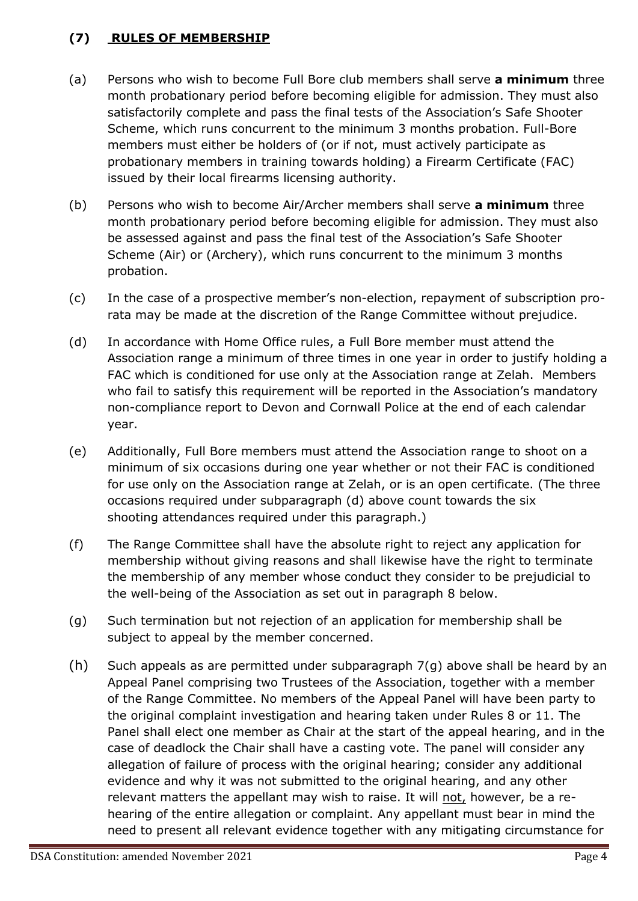### **(7) RULES OF MEMBERSHIP**

- (a) Persons who wish to become Full Bore club members shall serve **a minimum** three month probationary period before becoming eligible for admission. They must also satisfactorily complete and pass the final tests of the Association's Safe Shooter Scheme, which runs concurrent to the minimum 3 months probation. Full-Bore members must either be holders of (or if not, must actively participate as probationary members in training towards holding) a Firearm Certificate (FAC) issued by their local firearms licensing authority.
- (b) Persons who wish to become Air/Archer members shall serve **a minimum** three month probationary period before becoming eligible for admission. They must also be assessed against and pass the final test of the Association's Safe Shooter Scheme (Air) or (Archery), which runs concurrent to the minimum 3 months probation.
- (c) In the case of a prospective member's non-election, repayment of subscription prorata may be made at the discretion of the Range Committee without prejudice.
- (d) In accordance with Home Office rules, a Full Bore member must attend the Association range a minimum of three times in one year in order to justify holding a FAC which is conditioned for use only at the Association range at Zelah. Members who fail to satisfy this requirement will be reported in the Association's mandatory non-compliance report to Devon and Cornwall Police at the end of each calendar year.
- (e) Additionally, Full Bore members must attend the Association range to shoot on a minimum of six occasions during one year whether or not their FAC is conditioned for use only on the Association range at Zelah, or is an open certificate. (The three occasions required under subparagraph (d) above count towards the six shooting attendances required under this paragraph.)
- (f) The Range Committee shall have the absolute right to reject any application for membership without giving reasons and shall likewise have the right to terminate the membership of any member whose conduct they consider to be prejudicial to the well-being of the Association as set out in paragraph 8 below.
- (g) Such termination but not rejection of an application for membership shall be subject to appeal by the member concerned.
- (h) Such appeals as are permitted under subparagraph  $7(q)$  above shall be heard by an Appeal Panel comprising two Trustees of the Association, together with a member of the Range Committee. No members of the Appeal Panel will have been party to the original complaint investigation and hearing taken under Rules 8 or 11. The Panel shall elect one member as Chair at the start of the appeal hearing, and in the case of deadlock the Chair shall have a casting vote. The panel will consider any allegation of failure of process with the original hearing; consider any additional evidence and why it was not submitted to the original hearing, and any other relevant matters the appellant may wish to raise. It will not, however, be a rehearing of the entire allegation or complaint. Any appellant must bear in mind the need to present all relevant evidence together with any mitigating circumstance for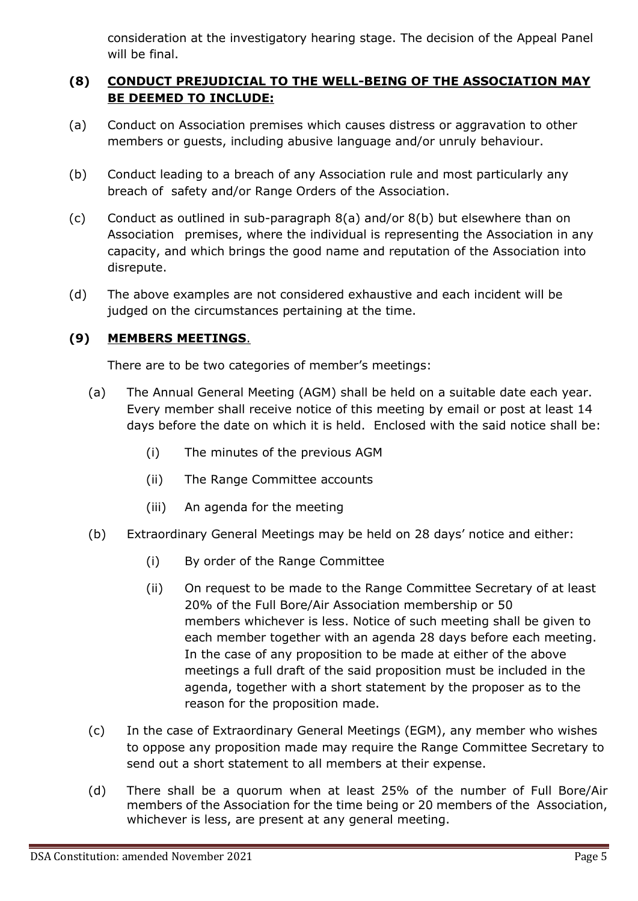consideration at the investigatory hearing stage. The decision of the Appeal Panel will be final.

### **(8) CONDUCT PREJUDICIAL TO THE WELL-BEING OF THE ASSOCIATION MAY BE DEEMED TO INCLUDE:**

- (a) Conduct on Association premises which causes distress or aggravation to other members or guests, including abusive language and/or unruly behaviour.
- (b) Conduct leading to a breach of any Association rule and most particularly any breach of safety and/or Range Orders of the Association.
- (c) Conduct as outlined in sub-paragraph 8(a) and/or 8(b) but elsewhere than on Association premises, where the individual is representing the Association in any capacity, and which brings the good name and reputation of the Association into disrepute.
- (d) The above examples are not considered exhaustive and each incident will be judged on the circumstances pertaining at the time.

### **(9) MEMBERS MEETINGS**.

There are to be two categories of member's meetings:

- (a) The Annual General Meeting (AGM) shall be held on a suitable date each year. Every member shall receive notice of this meeting by email or post at least 14 days before the date on which it is held. Enclosed with the said notice shall be:
	- (i) The minutes of the previous AGM
	- (ii) The Range Committee accounts
	- (iii) An agenda for the meeting
- (b) Extraordinary General Meetings may be held on 28 days' notice and either:
	- (i) By order of the Range Committee
	- (ii) On request to be made to the Range Committee Secretary of at least 20% of the Full Bore/Air Association membership or 50 members whichever is less. Notice of such meeting shall be given to each member together with an agenda 28 days before each meeting. In the case of any proposition to be made at either of the above meetings a full draft of the said proposition must be included in the agenda, together with a short statement by the proposer as to the reason for the proposition made.
- (c) In the case of Extraordinary General Meetings (EGM), any member who wishes to oppose any proposition made may require the Range Committee Secretary to send out a short statement to all members at their expense.
- (d) There shall be a quorum when at least 25% of the number of Full Bore/Air members of the Association for the time being or 20 members of the Association, whichever is less, are present at any general meeting.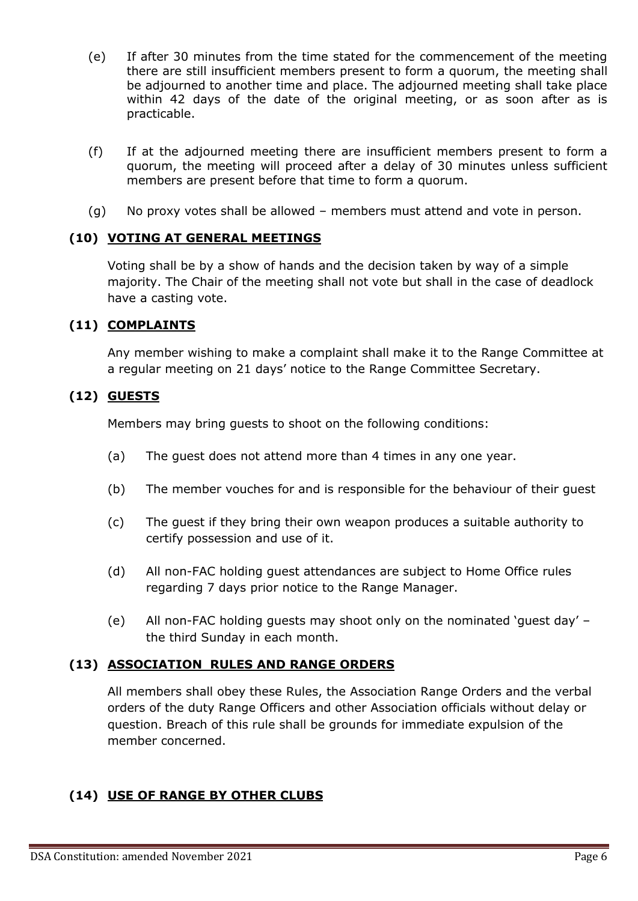- (e) If after 30 minutes from the time stated for the commencement of the meeting there are still insufficient members present to form a quorum, the meeting shall be adjourned to another time and place. The adjourned meeting shall take place within 42 days of the date of the original meeting, or as soon after as is practicable.
- (f) If at the adjourned meeting there are insufficient members present to form a quorum, the meeting will proceed after a delay of 30 minutes unless sufficient members are present before that time to form a quorum.
- (g) No proxy votes shall be allowed members must attend and vote in person.

### **(10) VOTING AT GENERAL MEETINGS**

Voting shall be by a show of hands and the decision taken by way of a simple majority. The Chair of the meeting shall not vote but shall in the case of deadlock have a casting vote.

### **(11) COMPLAINTS**

Any member wishing to make a complaint shall make it to the Range Committee at a regular meeting on 21 days' notice to the Range Committee Secretary.

#### **(12) GUESTS**

Members may bring guests to shoot on the following conditions:

- (a) The guest does not attend more than 4 times in any one year.
- (b) The member vouches for and is responsible for the behaviour of their guest
- (c) The guest if they bring their own weapon produces a suitable authority to certify possession and use of it.
- (d) All non-FAC holding guest attendances are subject to Home Office rules regarding 7 days prior notice to the Range Manager.
- (e) All non-FAC holding guests may shoot only on the nominated 'guest day' the third Sunday in each month.

#### **(13) ASSOCIATION RULES AND RANGE ORDERS**

All members shall obey these Rules, the Association Range Orders and the verbal orders of the duty Range Officers and other Association officials without delay or question. Breach of this rule shall be grounds for immediate expulsion of the member concerned.

### **(14) USE OF RANGE BY OTHER CLUBS**